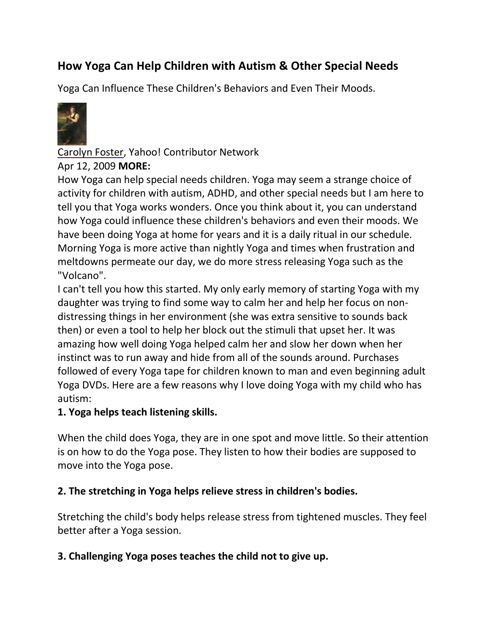# **How Yoga Can Help Children with Autism & Other Special Needs**

Yoga Can Influence These Children's Behaviors and Even Their Moods.



#### [Carolyn Foster,](http://contributor.yahoo.com/user/130141/carolyn_foster.html) [Yahoo! Contributor Network](https://contributor.yahoo.com/)

#### Apr 12, 2009 **[MORE:](http://voices.yahoo.com/search_advanced.html)**

How Yoga can help special needs children. Yoga may seem a strange choice of activity for children with autism, ADHD, and other special needs but I am here to tell you that Yoga works wonders. Once you think about it, you can understand how Yoga could influence these children's behaviors and even their moods. We have been doing Yoga at home for years and it is a daily ritual in our schedule. Morning Yoga is more active than nightly Yoga and times when frustration and meltdowns permeate our day, we do more stress releasing Yoga such as the "Volcano".

I can't tell you how this started. My only early memory of starting Yoga with my daughter was trying to find some way to calm her and help her focus on nondistressing things in her environment (she was extra sensitive to sounds back then) or even a tool to help her block out the stimuli that upset her. It was amazing how well doing Yoga helped calm her and slow her down when her instinct was to run away and hide from all of the sounds around. Purchases followed of every Yoga tape for children known to man and even beginning adult Yoga DVDs. Here are a few reasons why I love doing Yoga with my child who has autism:

#### **1. Yoga helps teach listening skills.**

When the child does Yoga, they are in one spot and move little. So their attention is on how to do the Yoga pose. They listen to how their bodies are supposed to move into the Yoga pose.

#### **2. The stretching in Yoga helps relieve stress in children's bodies.**

Stretching the child's body helps release stress from tightened muscles. They feel better after a Yoga session.

#### **3. Challenging Yoga poses teaches the child not to give up.**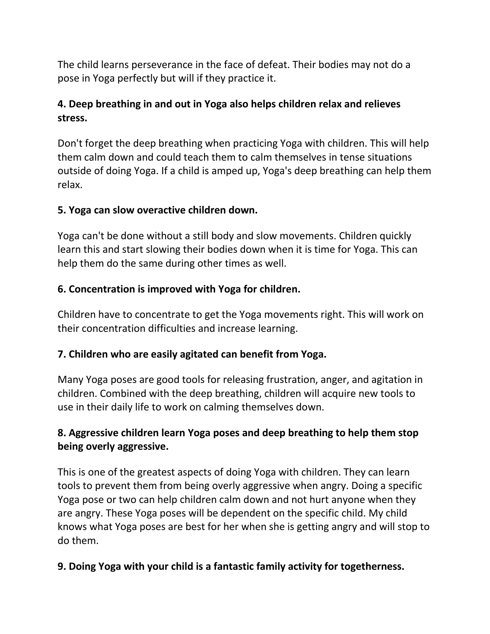The child learns perseverance in the face of defeat. Their bodies may not do a pose in Yoga perfectly but will if they practice it.

# **4. Deep breathing in and out in Yoga also helps children relax and relieves stress.**

Don't forget the deep breathing when practicing Yoga with children. This will help them calm down and could teach them to calm themselves in tense situations outside of doing Yoga. If a child is amped up, Yoga's deep breathing can help them relax.

## **5. Yoga can slow overactive children down.**

Yoga can't be done without a still body and slow movements. Children quickly learn this and start slowing their bodies down when it is time for Yoga. This can help them do the same during other times as well.

## **6. Concentration is improved with Yoga for children.**

Children have to concentrate to get the Yoga movements right. This will work on their concentration difficulties and increase learning.

## **7. Children who are easily agitated can benefit from Yoga.**

Many Yoga poses are good tools for releasing frustration, anger, and agitation in children. Combined with the deep breathing, children will acquire new tools to use in their daily life to work on calming themselves down.

## **8. Aggressive children learn Yoga poses and deep breathing to help them stop being overly aggressive.**

This is one of the greatest aspects of doing Yoga with children. They can learn tools to prevent them from being overly aggressive when angry. Doing a specific Yoga pose or two can help children calm down and not hurt anyone when they are angry. These Yoga poses will be dependent on the specific child. My child knows what Yoga poses are best for her when she is getting angry and will stop to do them.

## **9. Doing Yoga with your child is a fantastic family activity for togetherness.**